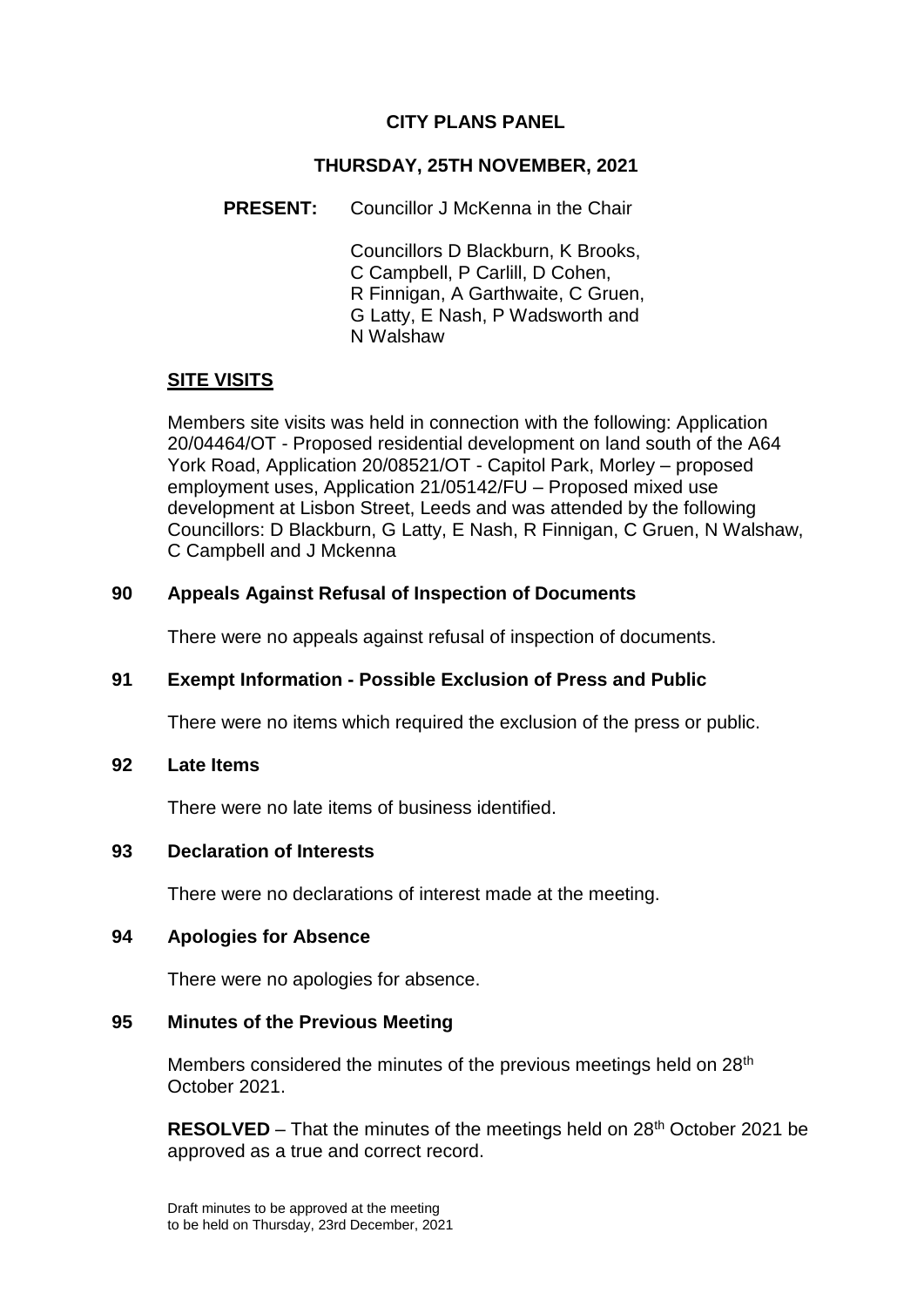# **CITY PLANS PANEL**

## **THURSDAY, 25TH NOVEMBER, 2021**

## **PRESENT:** Councillor J McKenna in the Chair

Councillors D Blackburn, K Brooks, C Campbell, P Carlill, D Cohen, R Finnigan, A Garthwaite, C Gruen, G Latty, E Nash, P Wadsworth and N Walshaw

# **SITE VISITS**

Members site visits was held in connection with the following: Application 20/04464/OT - Proposed residential development on land south of the A64 York Road, Application 20/08521/OT - Capitol Park, Morley – proposed employment uses, Application 21/05142/FU – Proposed mixed use development at Lisbon Street, Leeds and was attended by the following Councillors: D Blackburn, G Latty, E Nash, R Finnigan, C Gruen, N Walshaw, C Campbell and J Mckenna

# **90 Appeals Against Refusal of Inspection of Documents**

There were no appeals against refusal of inspection of documents.

## **91 Exempt Information - Possible Exclusion of Press and Public**

There were no items which required the exclusion of the press or public.

### **92 Late Items**

There were no late items of business identified.

### **93 Declaration of Interests**

There were no declarations of interest made at the meeting.

### **94 Apologies for Absence**

There were no apologies for absence.

#### **95 Minutes of the Previous Meeting**

Members considered the minutes of the previous meetings held on 28<sup>th</sup> October 2021.

**RESOLVED** – That the minutes of the meetings held on 28<sup>th</sup> October 2021 be approved as a true and correct record.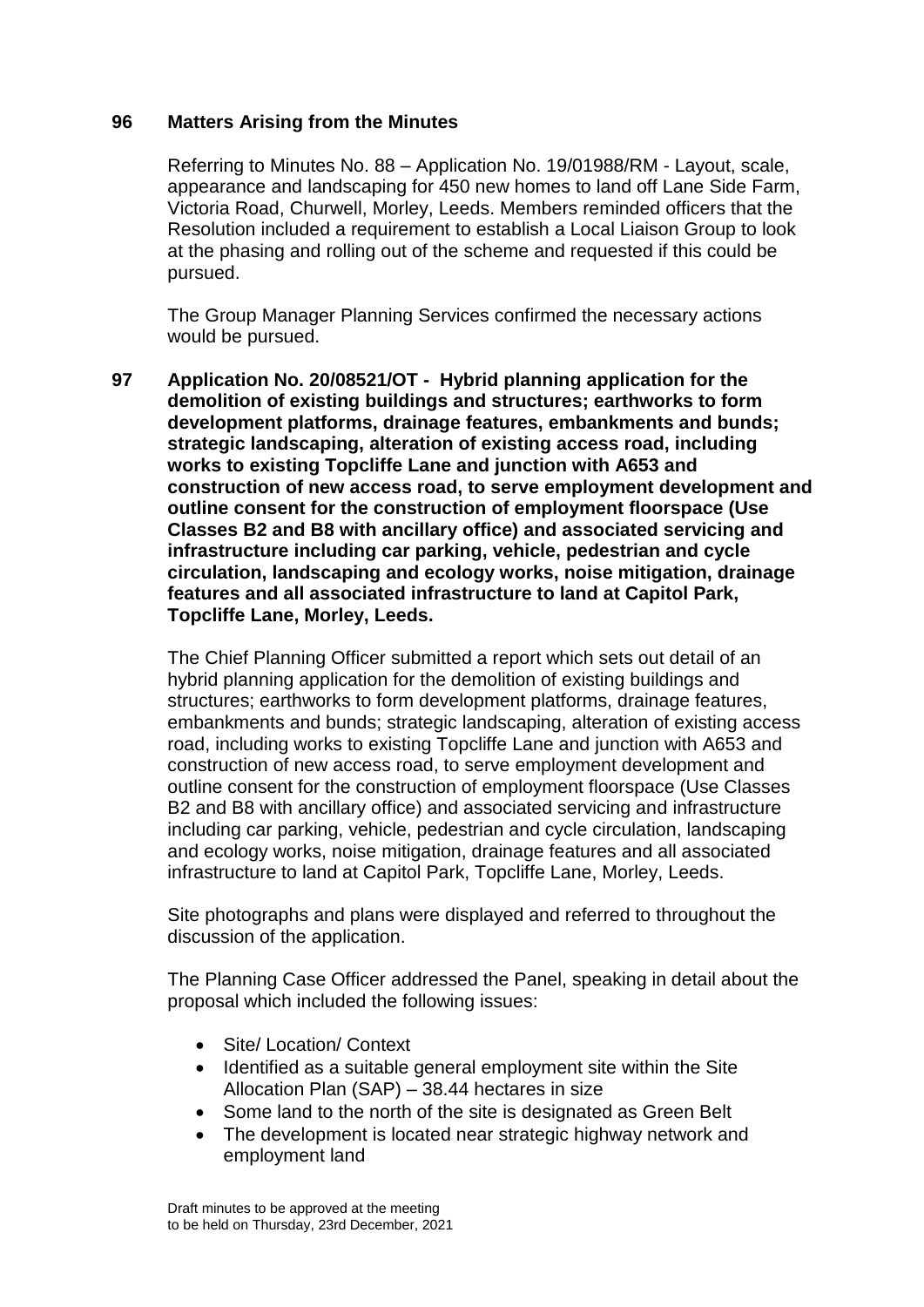### **96 Matters Arising from the Minutes**

Referring to Minutes No. 88 – Application No. 19/01988/RM - Layout, scale, appearance and landscaping for 450 new homes to land off Lane Side Farm, Victoria Road, Churwell, Morley, Leeds. Members reminded officers that the Resolution included a requirement to establish a Local Liaison Group to look at the phasing and rolling out of the scheme and requested if this could be pursued.

The Group Manager Planning Services confirmed the necessary actions would be pursued.

**97 Application No. 20/08521/OT - Hybrid planning application for the demolition of existing buildings and structures; earthworks to form development platforms, drainage features, embankments and bunds; strategic landscaping, alteration of existing access road, including works to existing Topcliffe Lane and junction with A653 and construction of new access road, to serve employment development and outline consent for the construction of employment floorspace (Use Classes B2 and B8 with ancillary office) and associated servicing and infrastructure including car parking, vehicle, pedestrian and cycle circulation, landscaping and ecology works, noise mitigation, drainage features and all associated infrastructure to land at Capitol Park, Topcliffe Lane, Morley, Leeds.**

The Chief Planning Officer submitted a report which sets out detail of an hybrid planning application for the demolition of existing buildings and structures; earthworks to form development platforms, drainage features, embankments and bunds; strategic landscaping, alteration of existing access road, including works to existing Topcliffe Lane and junction with A653 and construction of new access road, to serve employment development and outline consent for the construction of employment floorspace (Use Classes B2 and B8 with ancillary office) and associated servicing and infrastructure including car parking, vehicle, pedestrian and cycle circulation, landscaping and ecology works, noise mitigation, drainage features and all associated infrastructure to land at Capitol Park, Topcliffe Lane, Morley, Leeds.

Site photographs and plans were displayed and referred to throughout the discussion of the application.

The Planning Case Officer addressed the Panel, speaking in detail about the proposal which included the following issues:

- Site/ Location/ Context
- Identified as a suitable general employment site within the Site Allocation Plan (SAP) – 38.44 hectares in size
- Some land to the north of the site is designated as Green Belt
- The development is located near strategic highway network and employment land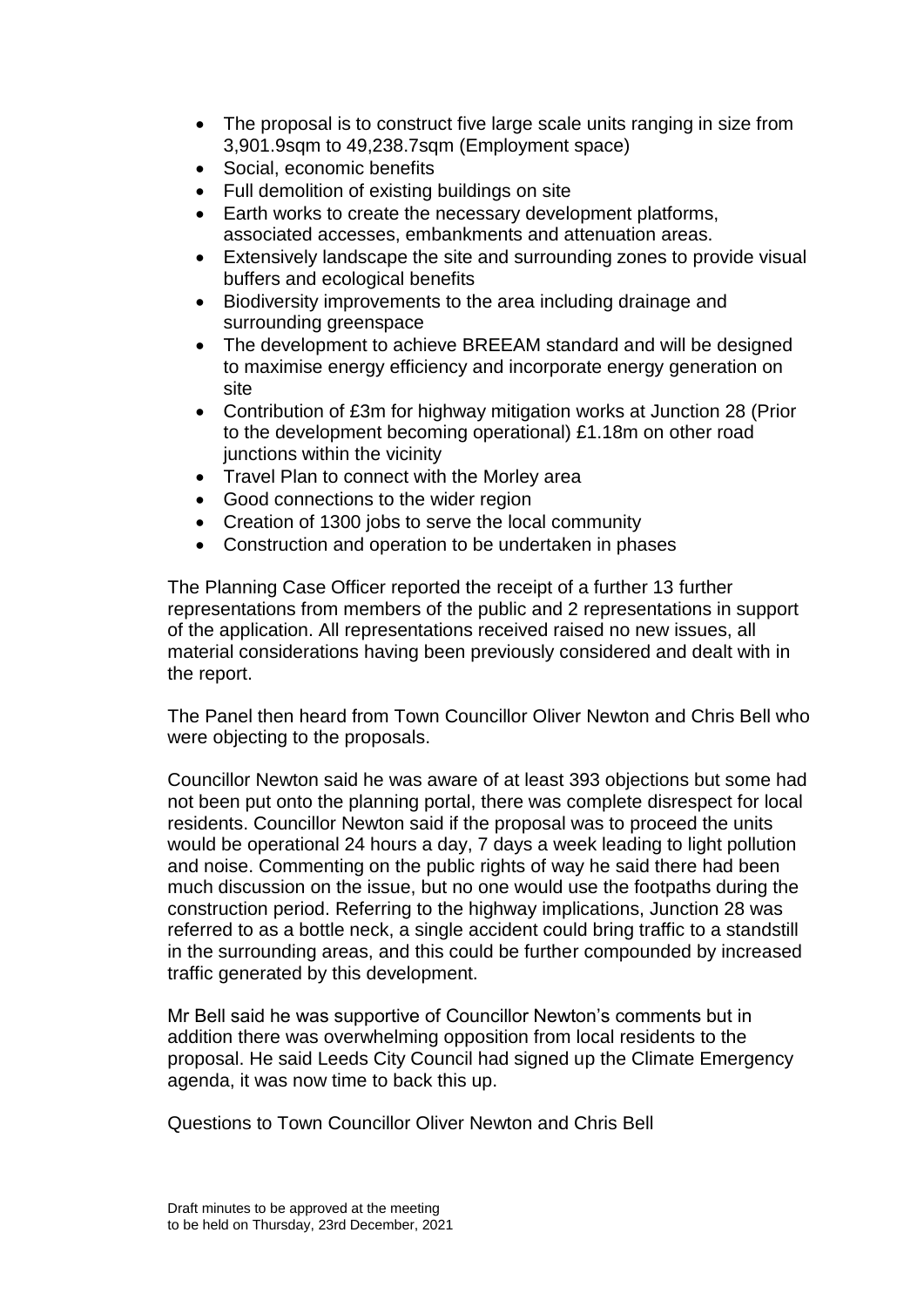- The proposal is to construct five large scale units ranging in size from 3,901.9sqm to 49,238.7sqm (Employment space)
- Social, economic benefits
- Full demolition of existing buildings on site
- Earth works to create the necessary development platforms, associated accesses, embankments and attenuation areas.
- Extensively landscape the site and surrounding zones to provide visual buffers and ecological benefits
- Biodiversity improvements to the area including drainage and surrounding greenspace
- The development to achieve BREEAM standard and will be designed to maximise energy efficiency and incorporate energy generation on site
- Contribution of £3m for highway mitigation works at Junction 28 (Prior to the development becoming operational) £1.18m on other road junctions within the vicinity
- Travel Plan to connect with the Morley area
- Good connections to the wider region
- Creation of 1300 jobs to serve the local community
- Construction and operation to be undertaken in phases

The Planning Case Officer reported the receipt of a further 13 further representations from members of the public and 2 representations in support of the application. All representations received raised no new issues, all material considerations having been previously considered and dealt with in the report.

The Panel then heard from Town Councillor Oliver Newton and Chris Bell who were objecting to the proposals.

Councillor Newton said he was aware of at least 393 objections but some had not been put onto the planning portal, there was complete disrespect for local residents. Councillor Newton said if the proposal was to proceed the units would be operational 24 hours a day, 7 days a week leading to light pollution and noise. Commenting on the public rights of way he said there had been much discussion on the issue, but no one would use the footpaths during the construction period. Referring to the highway implications, Junction 28 was referred to as a bottle neck, a single accident could bring traffic to a standstill in the surrounding areas, and this could be further compounded by increased traffic generated by this development.

Mr Bell said he was supportive of Councillor Newton's comments but in addition there was overwhelming opposition from local residents to the proposal. He said Leeds City Council had signed up the Climate Emergency agenda, it was now time to back this up.

Questions to Town Councillor Oliver Newton and Chris Bell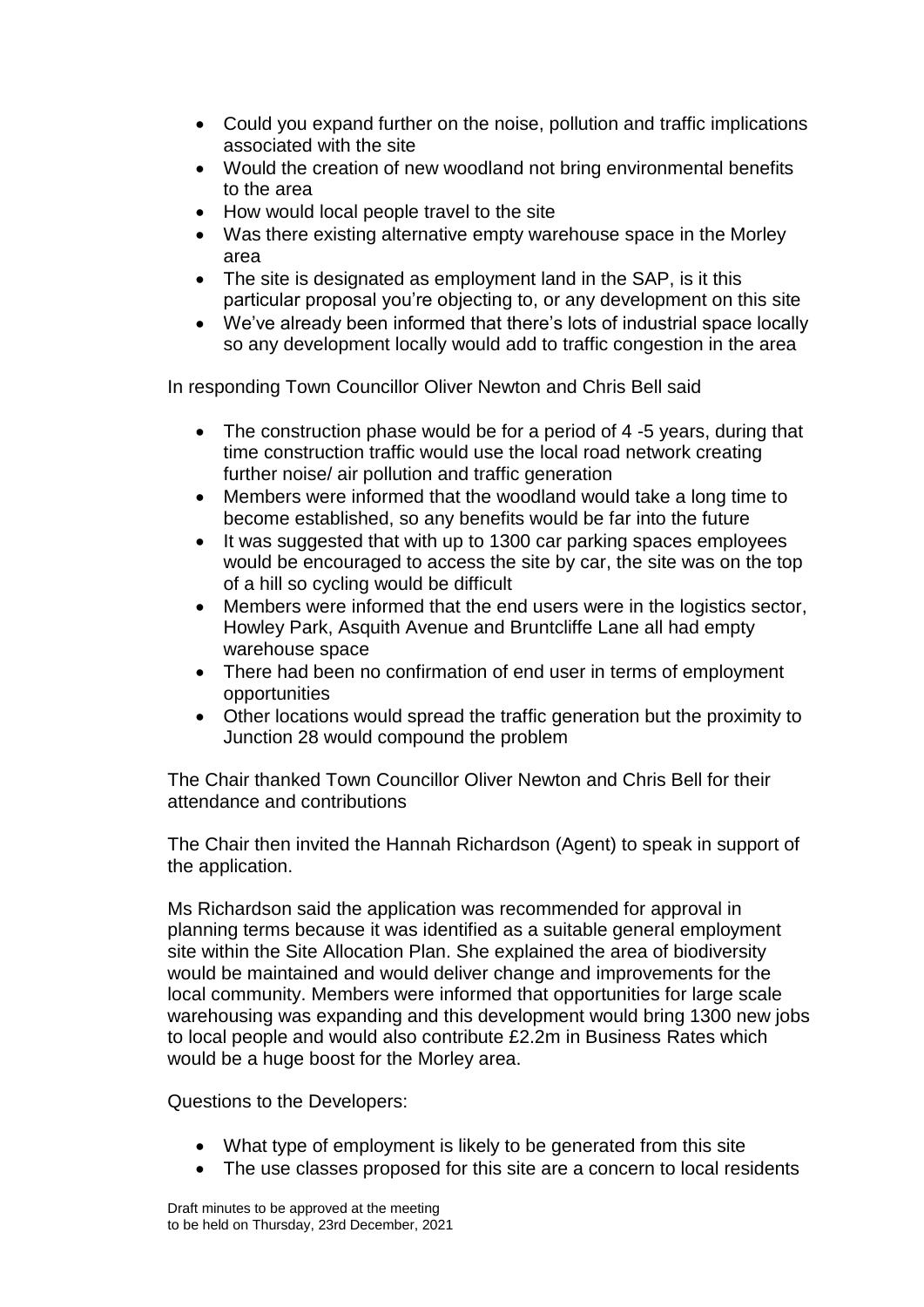- Could you expand further on the noise, pollution and traffic implications associated with the site
- Would the creation of new woodland not bring environmental benefits to the area
- How would local people travel to the site
- Was there existing alternative empty warehouse space in the Morley area
- The site is designated as employment land in the SAP, is it this particular proposal you're objecting to, or any development on this site
- We've already been informed that there's lots of industrial space locally so any development locally would add to traffic congestion in the area

In responding Town Councillor Oliver Newton and Chris Bell said

- The construction phase would be for a period of 4 -5 years, during that time construction traffic would use the local road network creating further noise/ air pollution and traffic generation
- Members were informed that the woodland would take a long time to become established, so any benefits would be far into the future
- It was suggested that with up to 1300 car parking spaces employees would be encouraged to access the site by car, the site was on the top of a hill so cycling would be difficult
- Members were informed that the end users were in the logistics sector, Howley Park, Asquith Avenue and Bruntcliffe Lane all had empty warehouse space
- There had been no confirmation of end user in terms of employment opportunities
- Other locations would spread the traffic generation but the proximity to Junction 28 would compound the problem

The Chair thanked Town Councillor Oliver Newton and Chris Bell for their attendance and contributions

The Chair then invited the Hannah Richardson (Agent) to speak in support of the application.

Ms Richardson said the application was recommended for approval in planning terms because it was identified as a suitable general employment site within the Site Allocation Plan. She explained the area of biodiversity would be maintained and would deliver change and improvements for the local community. Members were informed that opportunities for large scale warehousing was expanding and this development would bring 1300 new jobs to local people and would also contribute £2.2m in Business Rates which would be a huge boost for the Morley area.

Questions to the Developers:

- What type of employment is likely to be generated from this site
- The use classes proposed for this site are a concern to local residents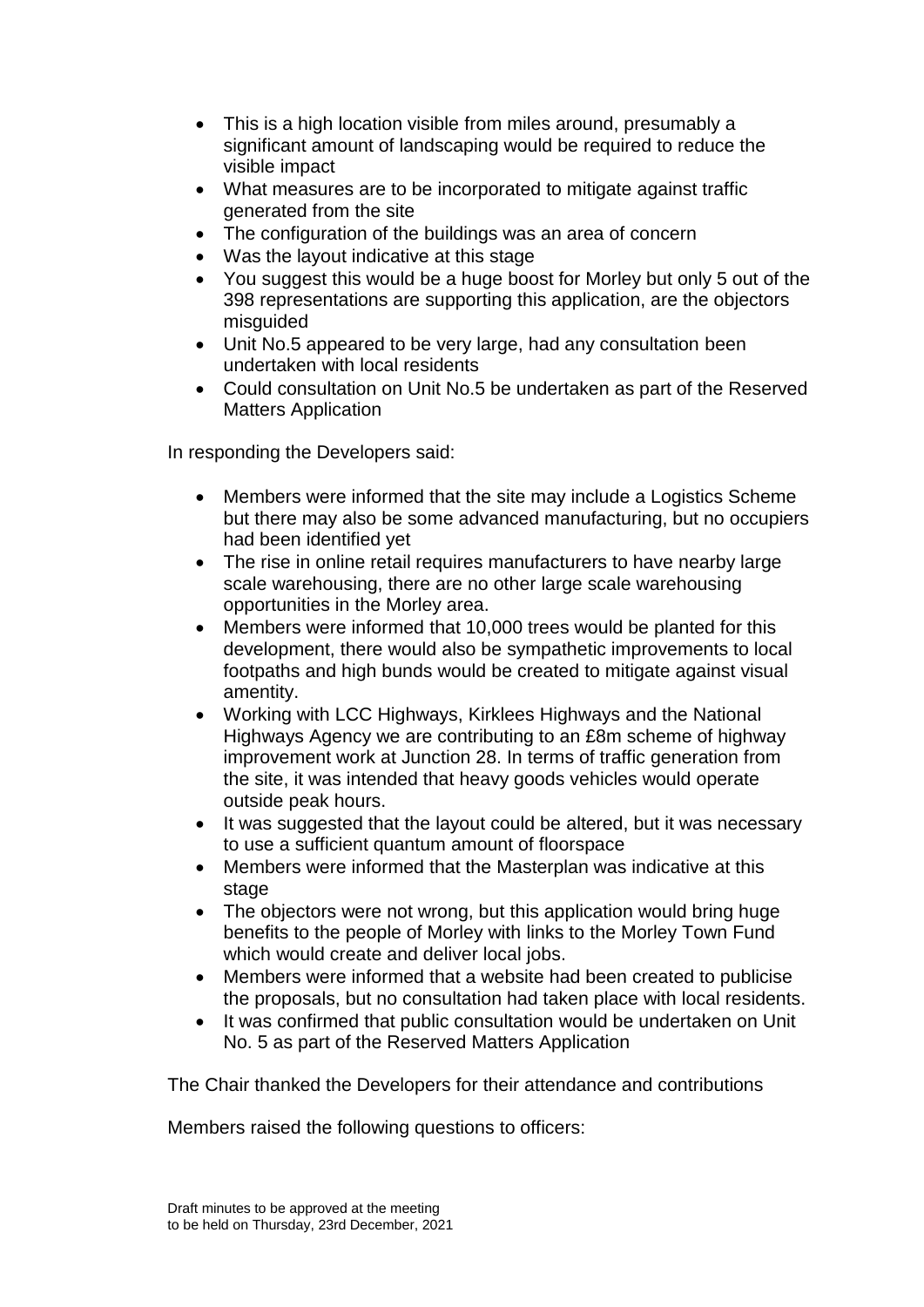- This is a high location visible from miles around, presumably a significant amount of landscaping would be required to reduce the visible impact
- What measures are to be incorporated to mitigate against traffic generated from the site
- The configuration of the buildings was an area of concern
- Was the layout indicative at this stage
- You suggest this would be a huge boost for Morley but only 5 out of the 398 representations are supporting this application, are the objectors misguided
- Unit No.5 appeared to be very large, had any consultation been undertaken with local residents
- Could consultation on Unit No.5 be undertaken as part of the Reserved Matters Application

In responding the Developers said:

- Members were informed that the site may include a Logistics Scheme but there may also be some advanced manufacturing, but no occupiers had been identified yet
- The rise in online retail requires manufacturers to have nearby large scale warehousing, there are no other large scale warehousing opportunities in the Morley area.
- Members were informed that 10,000 trees would be planted for this development, there would also be sympathetic improvements to local footpaths and high bunds would be created to mitigate against visual amentity.
- Working with LCC Highways, Kirklees Highways and the National Highways Agency we are contributing to an £8m scheme of highway improvement work at Junction 28. In terms of traffic generation from the site, it was intended that heavy goods vehicles would operate outside peak hours.
- It was suggested that the layout could be altered, but it was necessary to use a sufficient quantum amount of floorspace
- Members were informed that the Masterplan was indicative at this stage
- The objectors were not wrong, but this application would bring huge benefits to the people of Morley with links to the Morley Town Fund which would create and deliver local jobs.
- Members were informed that a website had been created to publicise the proposals, but no consultation had taken place with local residents.
- It was confirmed that public consultation would be undertaken on Unit No. 5 as part of the Reserved Matters Application

The Chair thanked the Developers for their attendance and contributions

Members raised the following questions to officers: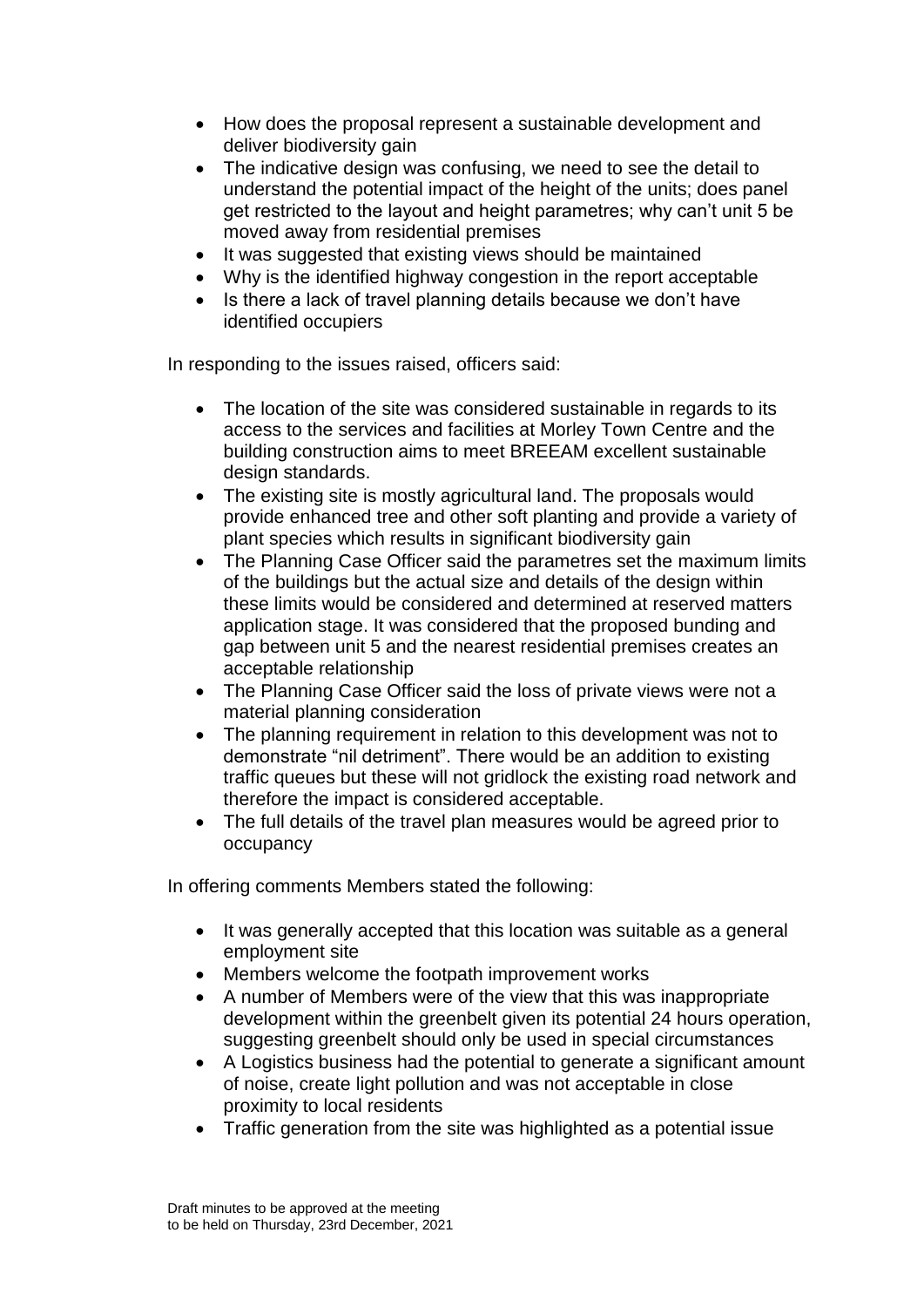- How does the proposal represent a sustainable development and deliver biodiversity gain
- The indicative design was confusing, we need to see the detail to understand the potential impact of the height of the units; does panel get restricted to the layout and height parametres; why can't unit 5 be moved away from residential premises
- It was suggested that existing views should be maintained
- Why is the identified highway congestion in the report acceptable
- Is there a lack of travel planning details because we don't have identified occupiers

In responding to the issues raised, officers said:

- The location of the site was considered sustainable in regards to its access to the services and facilities at Morley Town Centre and the building construction aims to meet BREEAM excellent sustainable design standards.
- The existing site is mostly agricultural land. The proposals would provide enhanced tree and other soft planting and provide a variety of plant species which results in significant biodiversity gain
- The Planning Case Officer said the parametres set the maximum limits of the buildings but the actual size and details of the design within these limits would be considered and determined at reserved matters application stage. It was considered that the proposed bunding and gap between unit 5 and the nearest residential premises creates an acceptable relationship
- The Planning Case Officer said the loss of private views were not a material planning consideration
- The planning requirement in relation to this development was not to demonstrate "nil detriment". There would be an addition to existing traffic queues but these will not gridlock the existing road network and therefore the impact is considered acceptable.
- The full details of the travel plan measures would be agreed prior to occupancy

In offering comments Members stated the following:

- It was generally accepted that this location was suitable as a general employment site
- Members welcome the footpath improvement works
- A number of Members were of the view that this was inappropriate development within the greenbelt given its potential 24 hours operation, suggesting greenbelt should only be used in special circumstances
- A Logistics business had the potential to generate a significant amount of noise, create light pollution and was not acceptable in close proximity to local residents
- Traffic generation from the site was highlighted as a potential issue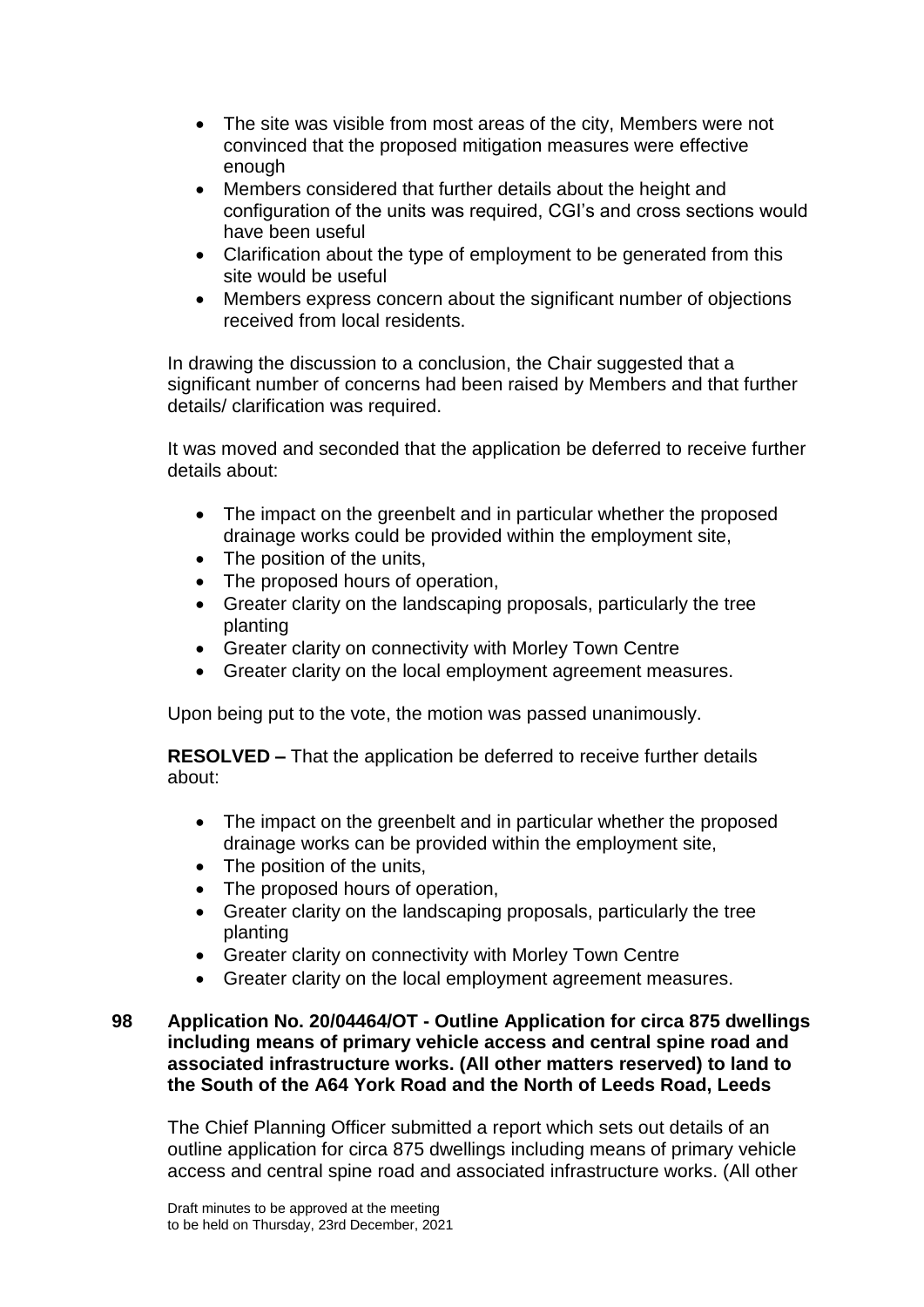- The site was visible from most areas of the city, Members were not convinced that the proposed mitigation measures were effective enough
- Members considered that further details about the height and configuration of the units was required, CGI's and cross sections would have been useful
- Clarification about the type of employment to be generated from this site would be useful
- Members express concern about the significant number of objections received from local residents.

In drawing the discussion to a conclusion, the Chair suggested that a significant number of concerns had been raised by Members and that further details/ clarification was required.

It was moved and seconded that the application be deferred to receive further details about:

- The impact on the greenbelt and in particular whether the proposed drainage works could be provided within the employment site,
- The position of the units,
- The proposed hours of operation,
- Greater clarity on the landscaping proposals, particularly the tree planting
- Greater clarity on connectivity with Morley Town Centre
- Greater clarity on the local employment agreement measures.

Upon being put to the vote, the motion was passed unanimously.

**RESOLVED –** That the application be deferred to receive further details about:

- The impact on the greenbelt and in particular whether the proposed drainage works can be provided within the employment site,
- The position of the units,
- The proposed hours of operation,
- Greater clarity on the landscaping proposals, particularly the tree planting
- Greater clarity on connectivity with Morley Town Centre
- Greater clarity on the local employment agreement measures.

### **98 Application No. 20/04464/OT - Outline Application for circa 875 dwellings including means of primary vehicle access and central spine road and associated infrastructure works. (All other matters reserved) to land to the South of the A64 York Road and the North of Leeds Road, Leeds**

The Chief Planning Officer submitted a report which sets out details of an outline application for circa 875 dwellings including means of primary vehicle access and central spine road and associated infrastructure works. (All other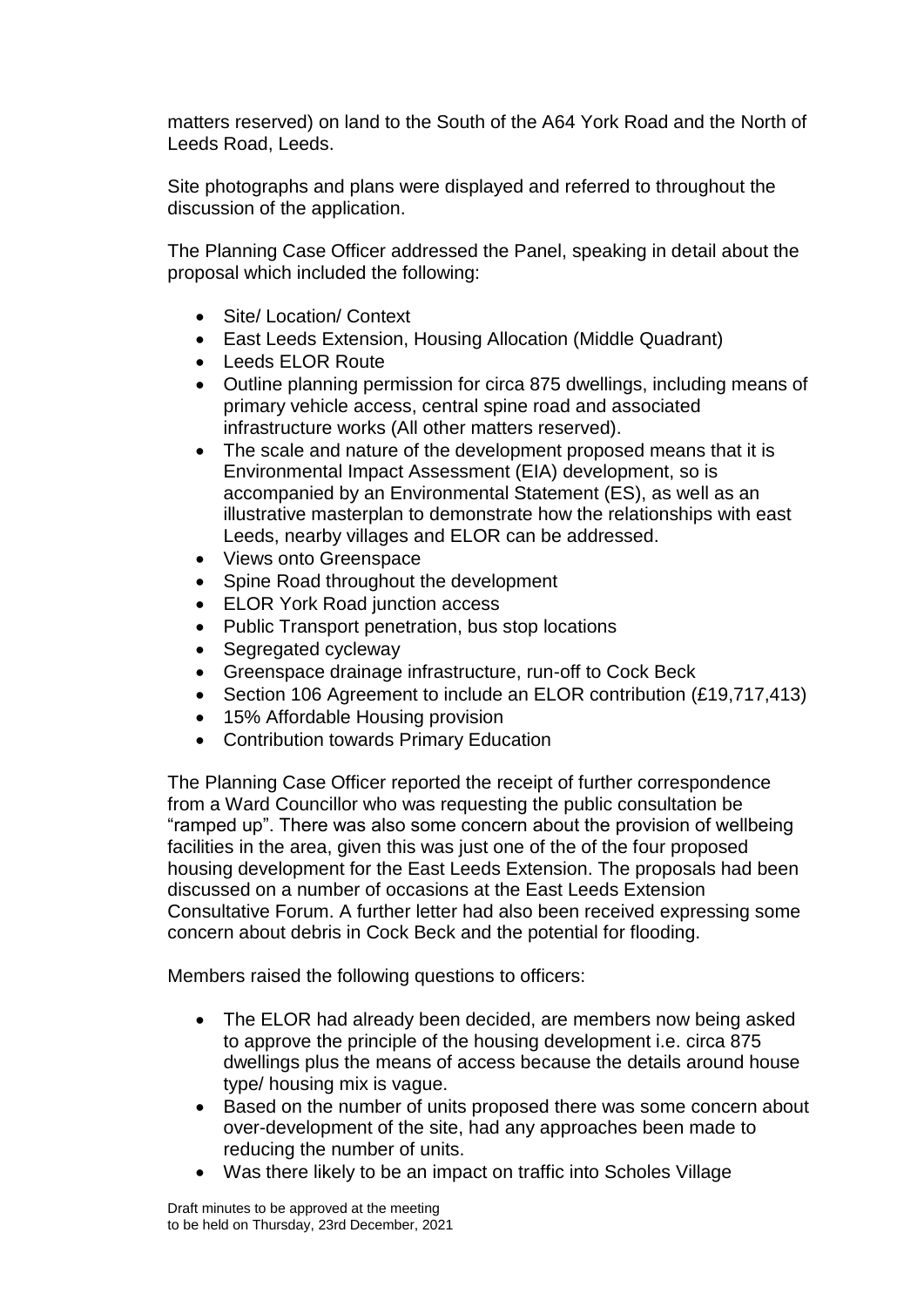matters reserved) on land to the South of the A64 York Road and the North of Leeds Road, Leeds.

Site photographs and plans were displayed and referred to throughout the discussion of the application.

The Planning Case Officer addressed the Panel, speaking in detail about the proposal which included the following:

- Site/ Location/ Context
- East Leeds Extension, Housing Allocation (Middle Quadrant)
- Leeds ELOR Route
- Outline planning permission for circa 875 dwellings, including means of primary vehicle access, central spine road and associated infrastructure works (All other matters reserved).
- The scale and nature of the development proposed means that it is Environmental Impact Assessment (EIA) development, so is accompanied by an Environmental Statement (ES), as well as an illustrative masterplan to demonstrate how the relationships with east Leeds, nearby villages and ELOR can be addressed.
- Views onto Greenspace
- Spine Road throughout the development
- ELOR York Road junction access
- Public Transport penetration, bus stop locations
- Segregated cycleway
- Greenspace drainage infrastructure, run-off to Cock Beck
- Section 106 Agreement to include an ELOR contribution (£19,717,413)
- 15% Affordable Housing provision
- Contribution towards Primary Education

The Planning Case Officer reported the receipt of further correspondence from a Ward Councillor who was requesting the public consultation be "ramped up". There was also some concern about the provision of wellbeing facilities in the area, given this was just one of the of the four proposed housing development for the East Leeds Extension. The proposals had been discussed on a number of occasions at the East Leeds Extension Consultative Forum. A further letter had also been received expressing some concern about debris in Cock Beck and the potential for flooding.

Members raised the following questions to officers:

- The ELOR had already been decided, are members now being asked to approve the principle of the housing development i.e. circa 875 dwellings plus the means of access because the details around house type/ housing mix is vague.
- Based on the number of units proposed there was some concern about over-development of the site, had any approaches been made to reducing the number of units.
- Was there likely to be an impact on traffic into Scholes Village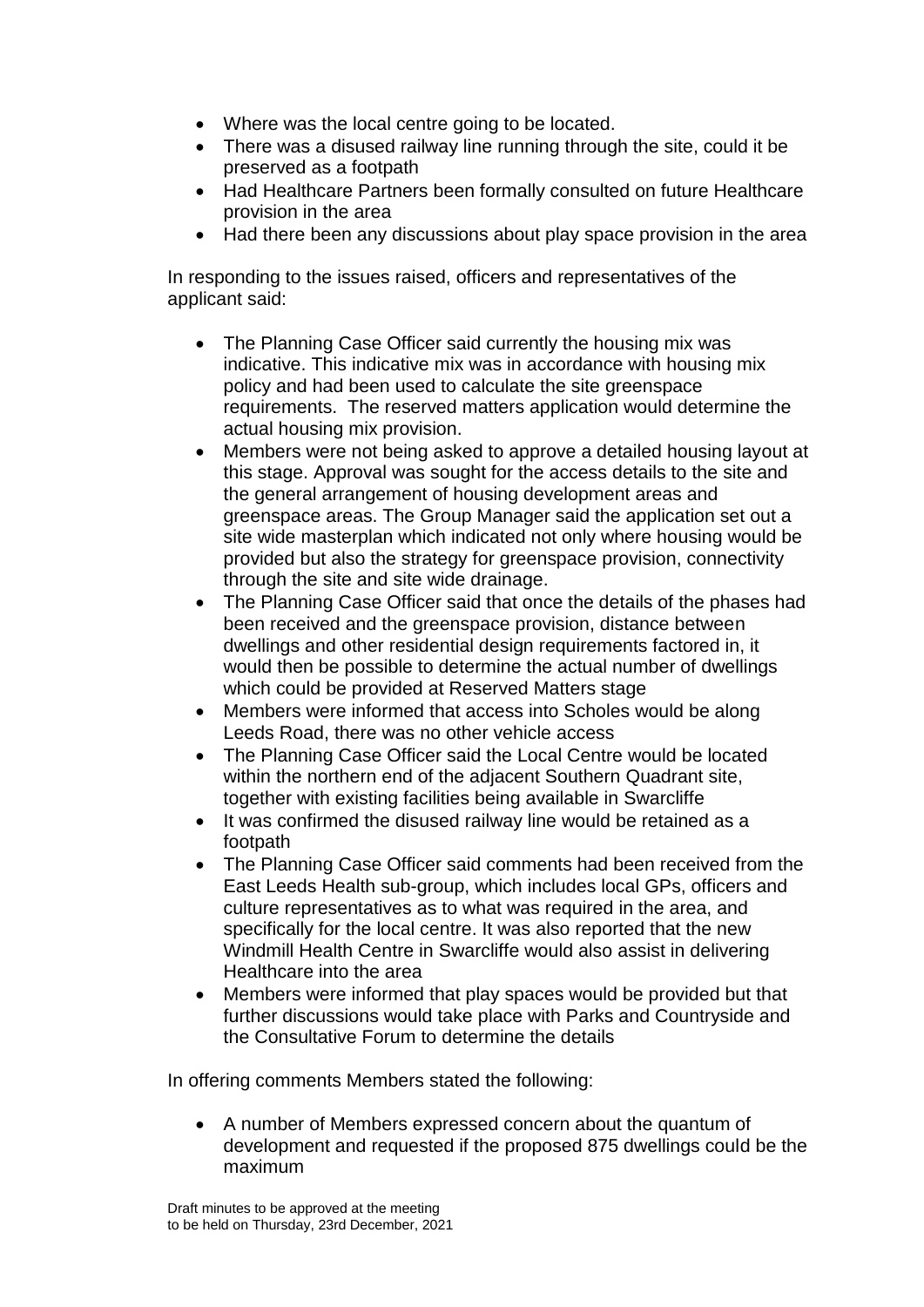- Where was the local centre going to be located.
- There was a disused railway line running through the site, could it be preserved as a footpath
- Had Healthcare Partners been formally consulted on future Healthcare provision in the area
- Had there been any discussions about play space provision in the area

In responding to the issues raised, officers and representatives of the applicant said:

- The Planning Case Officer said currently the housing mix was indicative. This indicative mix was in accordance with housing mix policy and had been used to calculate the site greenspace requirements. The reserved matters application would determine the actual housing mix provision.
- Members were not being asked to approve a detailed housing layout at this stage. Approval was sought for the access details to the site and the general arrangement of housing development areas and greenspace areas. The Group Manager said the application set out a site wide masterplan which indicated not only where housing would be provided but also the strategy for greenspace provision, connectivity through the site and site wide drainage.
- The Planning Case Officer said that once the details of the phases had been received and the greenspace provision, distance between dwellings and other residential design requirements factored in, it would then be possible to determine the actual number of dwellings which could be provided at Reserved Matters stage
- Members were informed that access into Scholes would be along Leeds Road, there was no other vehicle access
- The Planning Case Officer said the Local Centre would be located within the northern end of the adjacent Southern Quadrant site, together with existing facilities being available in Swarcliffe
- It was confirmed the disused railway line would be retained as a footpath
- The Planning Case Officer said comments had been received from the East Leeds Health sub-group, which includes local GPs, officers and culture representatives as to what was required in the area, and specifically for the local centre. It was also reported that the new Windmill Health Centre in Swarcliffe would also assist in delivering Healthcare into the area
- Members were informed that play spaces would be provided but that further discussions would take place with Parks and Countryside and the Consultative Forum to determine the details

In offering comments Members stated the following:

 A number of Members expressed concern about the quantum of development and requested if the proposed 875 dwellings could be the maximum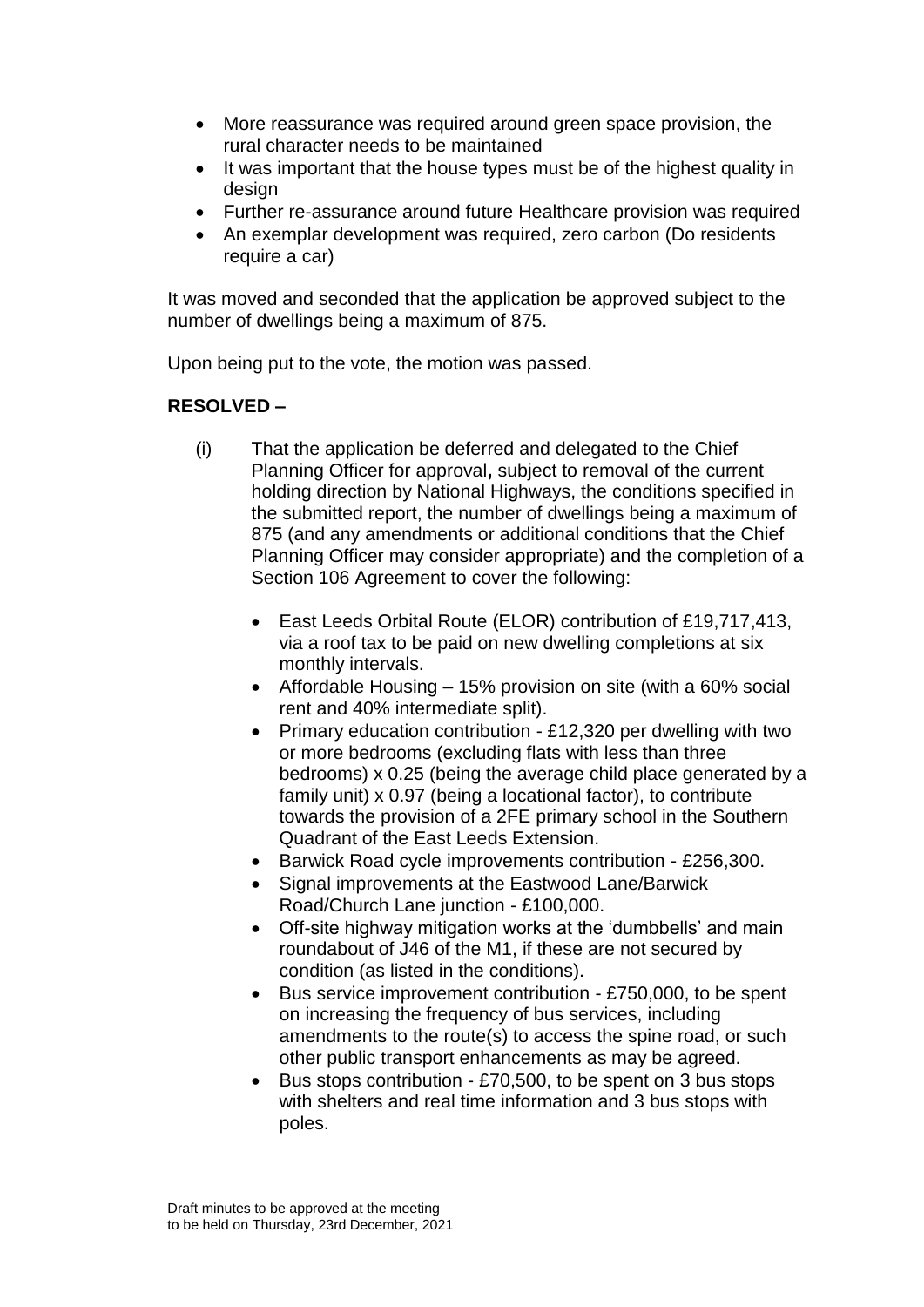- More reassurance was required around green space provision, the rural character needs to be maintained
- It was important that the house types must be of the highest quality in design
- Further re-assurance around future Healthcare provision was required
- An exemplar development was required, zero carbon (Do residents require a car)

It was moved and seconded that the application be approved subject to the number of dwellings being a maximum of 875.

Upon being put to the vote, the motion was passed.

# **RESOLVED –**

- (i) That the application be deferred and delegated to the Chief Planning Officer for approval**,** subject to removal of the current holding direction by National Highways, the conditions specified in the submitted report, the number of dwellings being a maximum of 875 (and any amendments or additional conditions that the Chief Planning Officer may consider appropriate) and the completion of a Section 106 Agreement to cover the following:
	- East Leeds Orbital Route (ELOR) contribution of £19,717,413, via a roof tax to be paid on new dwelling completions at six monthly intervals.
	- Affordable Housing 15% provision on site (with a 60% social rent and 40% intermediate split).
	- Primary education contribution £12,320 per dwelling with two or more bedrooms (excluding flats with less than three bedrooms) x 0.25 (being the average child place generated by a family unit) x 0.97 (being a locational factor), to contribute towards the provision of a 2FE primary school in the Southern Quadrant of the East Leeds Extension.
	- Barwick Road cycle improvements contribution £256,300.
	- Signal improvements at the Eastwood Lane/Barwick Road/Church Lane junction - £100,000.
	- Off-site highway mitigation works at the 'dumbbells' and main roundabout of J46 of the M1, if these are not secured by condition (as listed in the conditions).
	- Bus service improvement contribution £750,000, to be spent on increasing the frequency of bus services, including amendments to the route(s) to access the spine road, or such other public transport enhancements as may be agreed.
	- Bus stops contribution £70,500, to be spent on 3 bus stops with shelters and real time information and 3 bus stops with poles.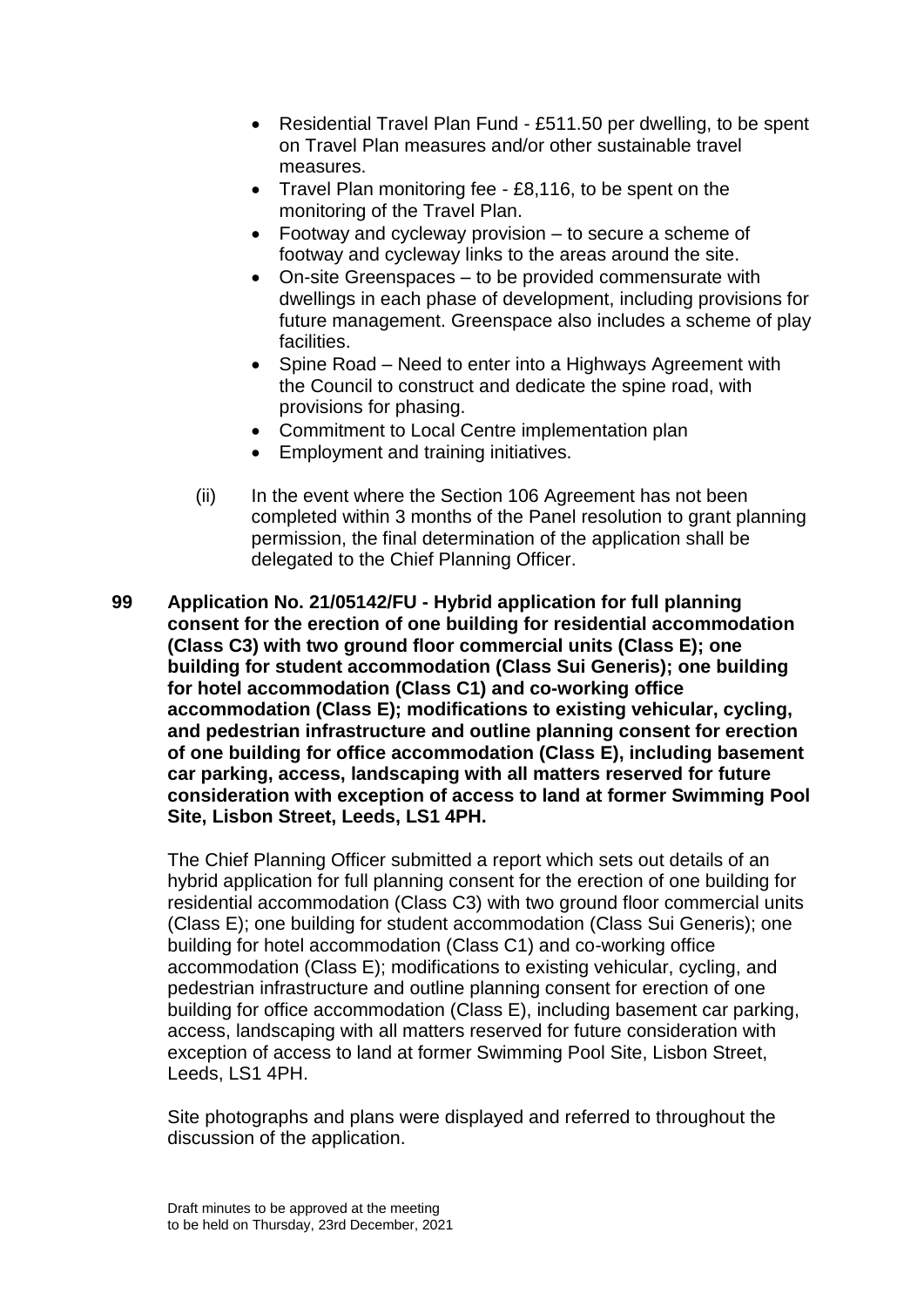- Residential Travel Plan Fund £511.50 per dwelling, to be spent on Travel Plan measures and/or other sustainable travel measures.
- Travel Plan monitoring fee £8,116, to be spent on the monitoring of the Travel Plan.
- Footway and cycleway provision to secure a scheme of footway and cycleway links to the areas around the site.
- On-site Greenspaces to be provided commensurate with dwellings in each phase of development, including provisions for future management. Greenspace also includes a scheme of play facilities.
- Spine Road Need to enter into a Highways Agreement with the Council to construct and dedicate the spine road, with provisions for phasing.
- Commitment to Local Centre implementation plan
- Employment and training initiatives.
- (ii) In the event where the Section 106 Agreement has not been completed within 3 months of the Panel resolution to grant planning permission, the final determination of the application shall be delegated to the Chief Planning Officer.
- **99 Application No. 21/05142/FU - Hybrid application for full planning consent for the erection of one building for residential accommodation (Class C3) with two ground floor commercial units (Class E); one building for student accommodation (Class Sui Generis); one building for hotel accommodation (Class C1) and co-working office accommodation (Class E); modifications to existing vehicular, cycling, and pedestrian infrastructure and outline planning consent for erection of one building for office accommodation (Class E), including basement car parking, access, landscaping with all matters reserved for future consideration with exception of access to land at former Swimming Pool Site, Lisbon Street, Leeds, LS1 4PH.**

The Chief Planning Officer submitted a report which sets out details of an hybrid application for full planning consent for the erection of one building for residential accommodation (Class C3) with two ground floor commercial units (Class E); one building for student accommodation (Class Sui Generis); one building for hotel accommodation (Class C1) and co-working office accommodation (Class E); modifications to existing vehicular, cycling, and pedestrian infrastructure and outline planning consent for erection of one building for office accommodation (Class E), including basement car parking, access, landscaping with all matters reserved for future consideration with exception of access to land at former Swimming Pool Site, Lisbon Street, Leeds, LS1 4PH.

Site photographs and plans were displayed and referred to throughout the discussion of the application.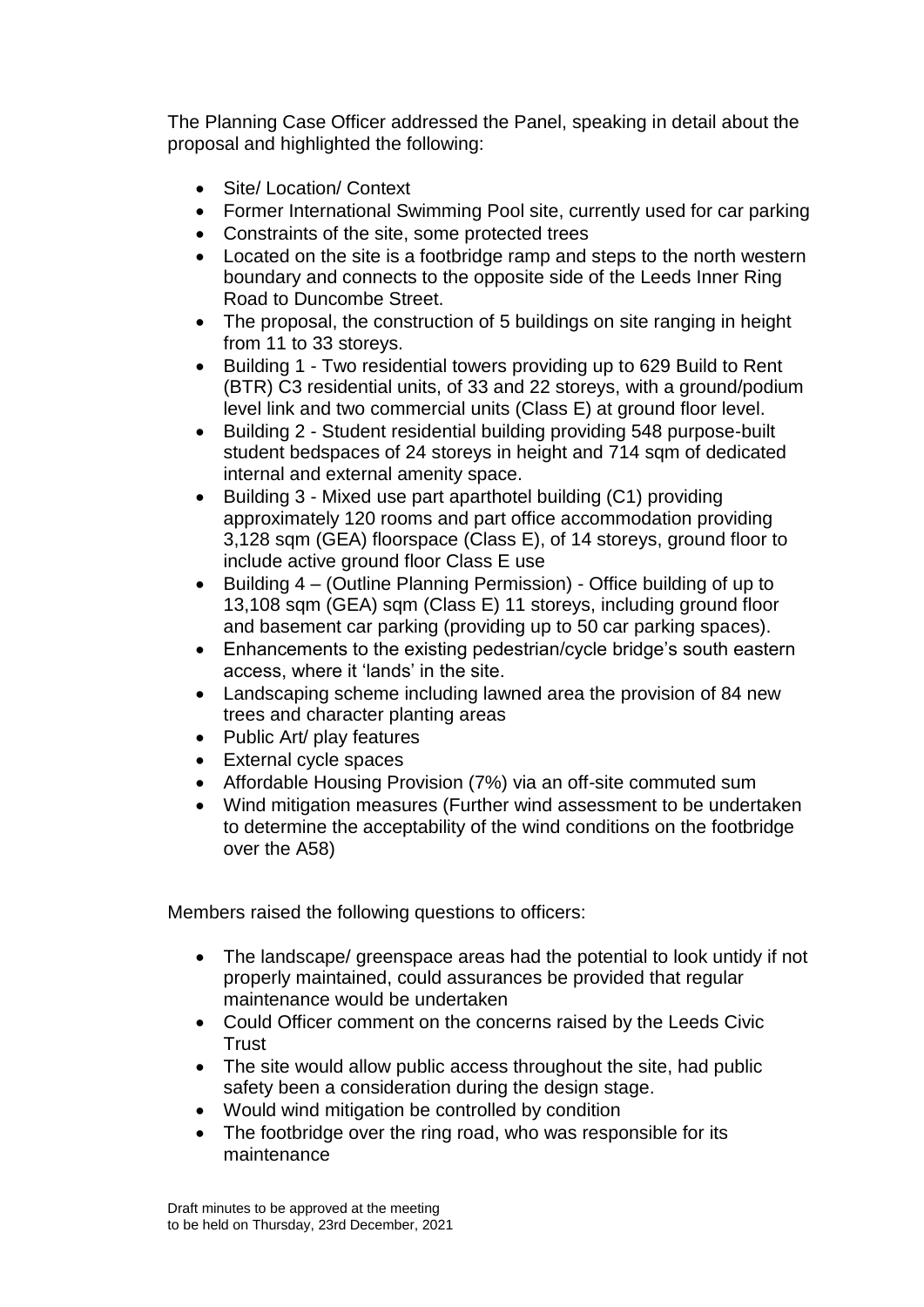The Planning Case Officer addressed the Panel, speaking in detail about the proposal and highlighted the following:

- Site/ Location/ Context
- Former International Swimming Pool site, currently used for car parking
- Constraints of the site, some protected trees
- Located on the site is a footbridge ramp and steps to the north western boundary and connects to the opposite side of the Leeds Inner Ring Road to Duncombe Street.
- The proposal, the construction of 5 buildings on site ranging in height from 11 to 33 storeys.
- Building 1 Two residential towers providing up to 629 Build to Rent (BTR) C3 residential units, of 33 and 22 storeys, with a ground/podium level link and two commercial units (Class E) at ground floor level.
- Building 2 Student residential building providing 548 purpose-built student bedspaces of 24 storeys in height and 714 sqm of dedicated internal and external amenity space.
- Building 3 Mixed use part aparthotel building (C1) providing approximately 120 rooms and part office accommodation providing 3,128 sqm (GEA) floorspace (Class E), of 14 storeys, ground floor to include active ground floor Class E use
- Building 4 (Outline Planning Permission) Office building of up to 13,108 sqm (GEA) sqm (Class E) 11 storeys, including ground floor and basement car parking (providing up to 50 car parking spaces).
- Enhancements to the existing pedestrian/cycle bridge's south eastern access, where it 'lands' in the site.
- Landscaping scheme including lawned area the provision of 84 new trees and character planting areas
- Public Art/ play features
- External cycle spaces
- Affordable Housing Provision (7%) via an off-site commuted sum
- Wind mitigation measures (Further wind assessment to be undertaken to determine the acceptability of the wind conditions on the footbridge over the A58)

Members raised the following questions to officers:

- The landscape/ greenspace areas had the potential to look untidy if not properly maintained, could assurances be provided that regular maintenance would be undertaken
- Could Officer comment on the concerns raised by the Leeds Civic **Trust**
- The site would allow public access throughout the site, had public safety been a consideration during the design stage.
- Would wind mitigation be controlled by condition
- The footbridge over the ring road, who was responsible for its maintenance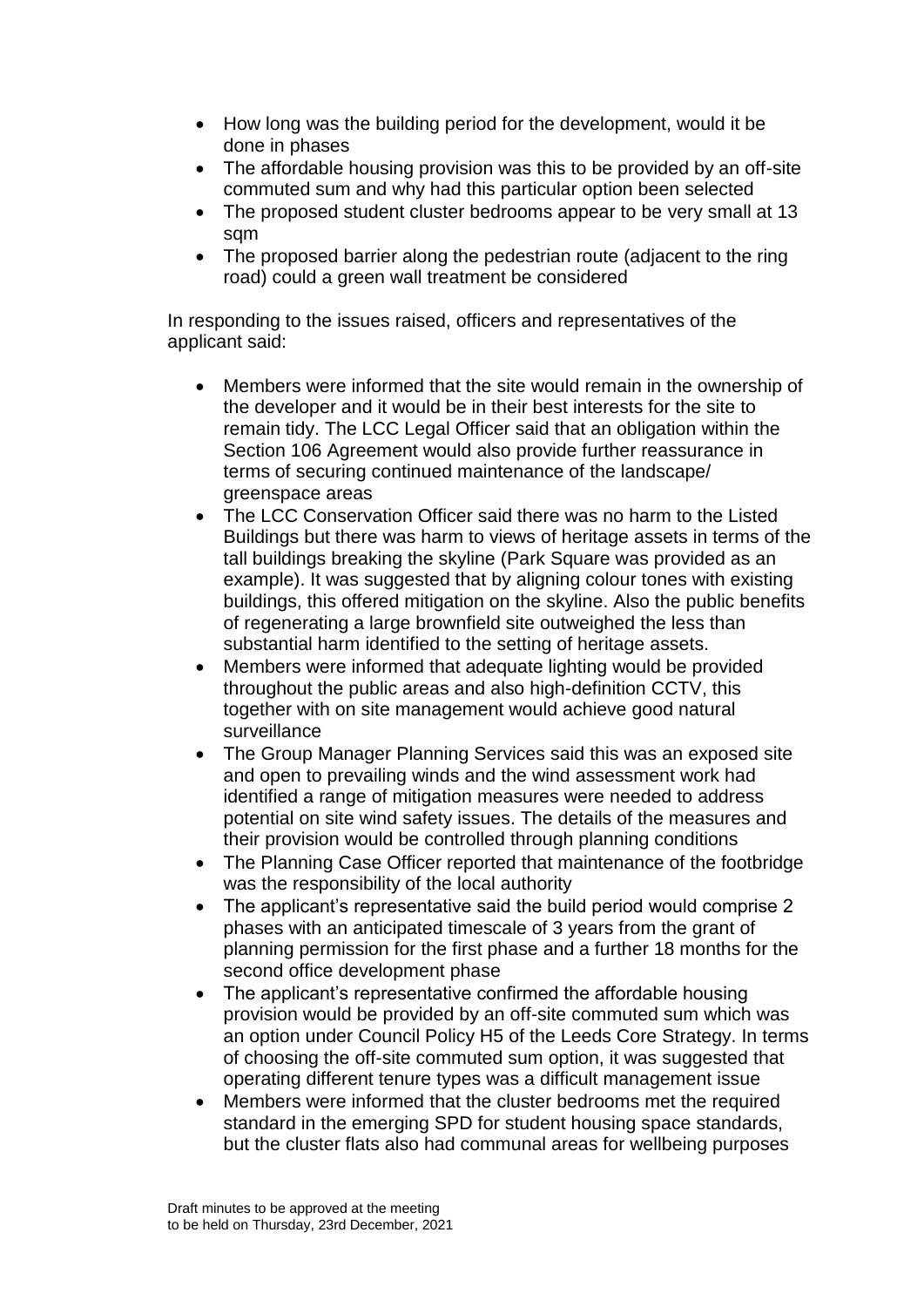- How long was the building period for the development, would it be done in phases
- The affordable housing provision was this to be provided by an off-site commuted sum and why had this particular option been selected
- The proposed student cluster bedrooms appear to be very small at 13 sqm
- The proposed barrier along the pedestrian route (adjacent to the ring road) could a green wall treatment be considered

In responding to the issues raised, officers and representatives of the applicant said:

- Members were informed that the site would remain in the ownership of the developer and it would be in their best interests for the site to remain tidy. The LCC Legal Officer said that an obligation within the Section 106 Agreement would also provide further reassurance in terms of securing continued maintenance of the landscape/ greenspace areas
- The LCC Conservation Officer said there was no harm to the Listed Buildings but there was harm to views of heritage assets in terms of the tall buildings breaking the skyline (Park Square was provided as an example). It was suggested that by aligning colour tones with existing buildings, this offered mitigation on the skyline. Also the public benefits of regenerating a large brownfield site outweighed the less than substantial harm identified to the setting of heritage assets.
- Members were informed that adequate lighting would be provided throughout the public areas and also high-definition CCTV, this together with on site management would achieve good natural surveillance
- The Group Manager Planning Services said this was an exposed site and open to prevailing winds and the wind assessment work had identified a range of mitigation measures were needed to address potential on site wind safety issues. The details of the measures and their provision would be controlled through planning conditions
- The Planning Case Officer reported that maintenance of the footbridge was the responsibility of the local authority
- The applicant's representative said the build period would comprise 2 phases with an anticipated timescale of 3 years from the grant of planning permission for the first phase and a further 18 months for the second office development phase
- The applicant's representative confirmed the affordable housing provision would be provided by an off-site commuted sum which was an option under Council Policy H5 of the Leeds Core Strategy. In terms of choosing the off-site commuted sum option, it was suggested that operating different tenure types was a difficult management issue
- Members were informed that the cluster bedrooms met the required standard in the emerging SPD for student housing space standards, but the cluster flats also had communal areas for wellbeing purposes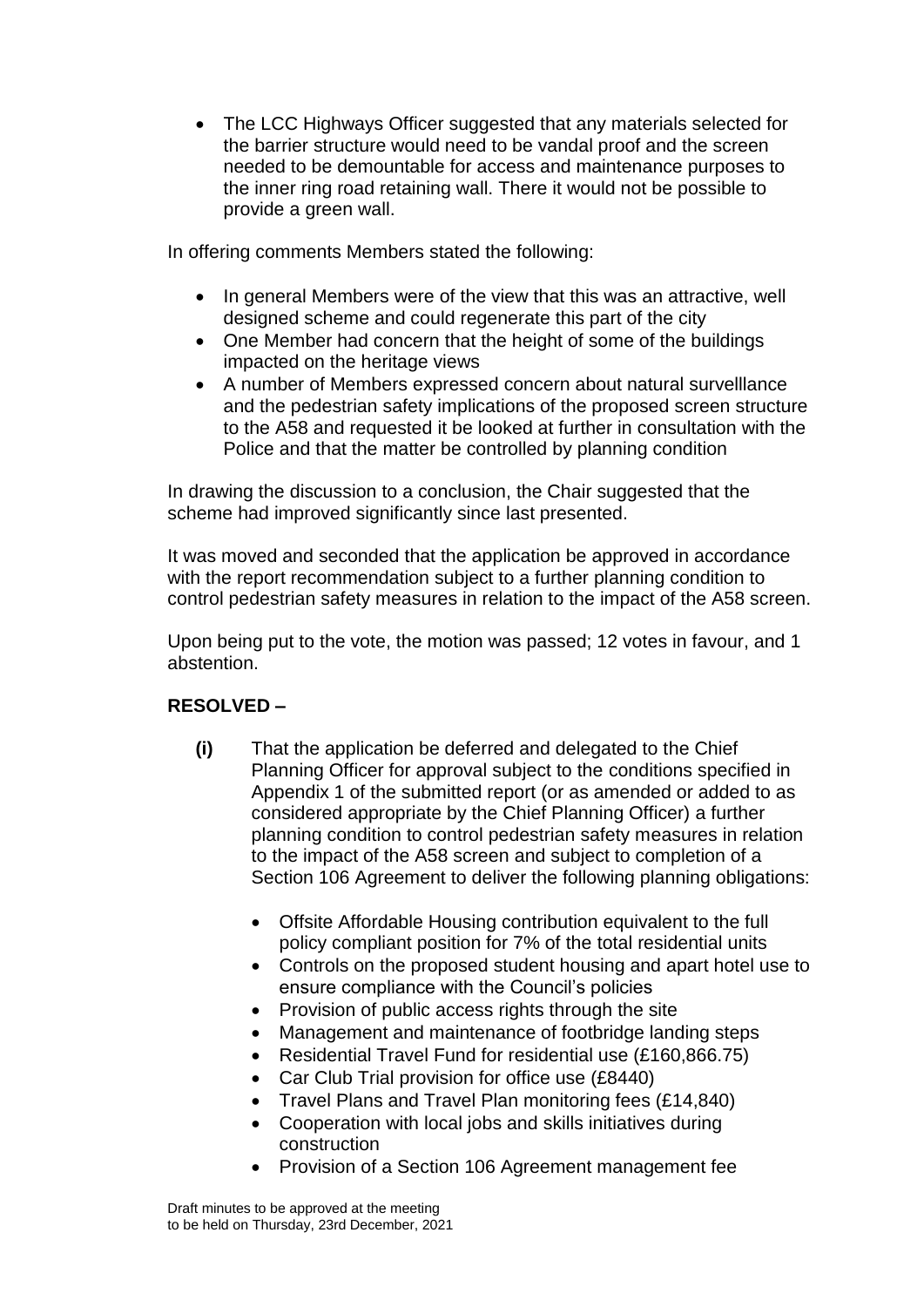The LCC Highways Officer suggested that any materials selected for the barrier structure would need to be vandal proof and the screen needed to be demountable for access and maintenance purposes to the inner ring road retaining wall. There it would not be possible to provide a green wall.

In offering comments Members stated the following:

- In general Members were of the view that this was an attractive, well designed scheme and could regenerate this part of the city
- One Member had concern that the height of some of the buildings impacted on the heritage views
- A number of Members expressed concern about natural survelllance and the pedestrian safety implications of the proposed screen structure to the A58 and requested it be looked at further in consultation with the Police and that the matter be controlled by planning condition

In drawing the discussion to a conclusion, the Chair suggested that the scheme had improved significantly since last presented.

It was moved and seconded that the application be approved in accordance with the report recommendation subject to a further planning condition to control pedestrian safety measures in relation to the impact of the A58 screen.

Upon being put to the vote, the motion was passed; 12 votes in favour, and 1 abstention.

# **RESOLVED –**

- **(i)** That the application be deferred and delegated to the Chief Planning Officer for approval subject to the conditions specified in Appendix 1 of the submitted report (or as amended or added to as considered appropriate by the Chief Planning Officer) a further planning condition to control pedestrian safety measures in relation to the impact of the A58 screen and subject to completion of a Section 106 Agreement to deliver the following planning obligations:
	- Offsite Affordable Housing contribution equivalent to the full policy compliant position for 7% of the total residential units
	- Controls on the proposed student housing and apart hotel use to ensure compliance with the Council's policies
	- Provision of public access rights through the site
	- Management and maintenance of footbridge landing steps
	- Residential Travel Fund for residential use (£160,866.75)
	- Car Club Trial provision for office use (£8440)
	- Travel Plans and Travel Plan monitoring fees (£14,840)
	- Cooperation with local jobs and skills initiatives during construction
	- Provision of a Section 106 Agreement management fee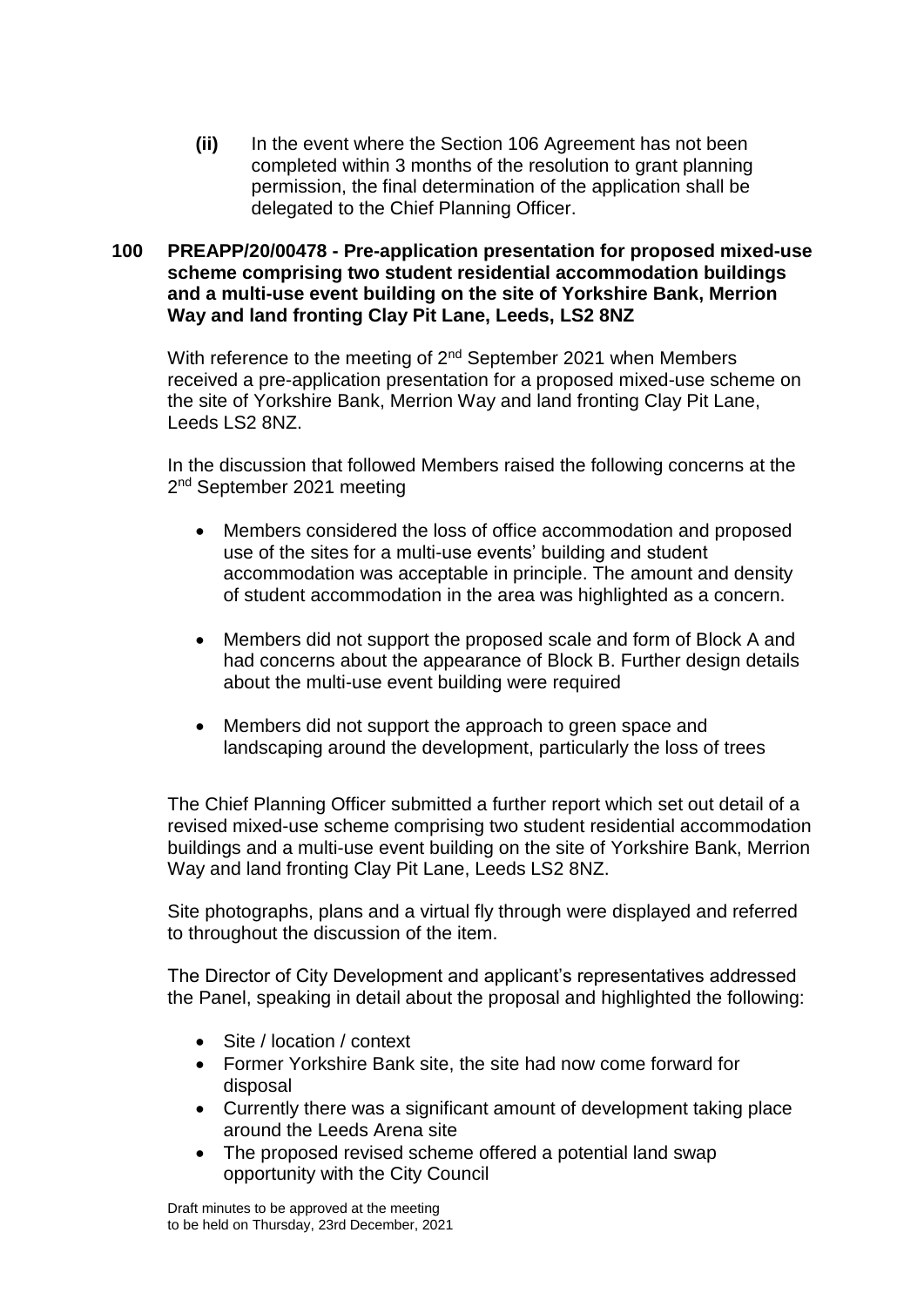**(ii)** In the event where the Section 106 Agreement has not been completed within 3 months of the resolution to grant planning permission, the final determination of the application shall be delegated to the Chief Planning Officer.

### **100 PREAPP/20/00478 - Pre-application presentation for proposed mixed-use scheme comprising two student residential accommodation buildings and a multi-use event building on the site of Yorkshire Bank, Merrion Way and land fronting Clay Pit Lane, Leeds, LS2 8NZ**

With reference to the meeting of 2<sup>nd</sup> September 2021 when Members received a pre-application presentation for a proposed mixed-use scheme on the site of Yorkshire Bank, Merrion Way and land fronting Clay Pit Lane, Leeds LS2 8NZ.

In the discussion that followed Members raised the following concerns at the 2<sup>nd</sup> September 2021 meeting

- Members considered the loss of office accommodation and proposed use of the sites for a multi-use events' building and student accommodation was acceptable in principle. The amount and density of student accommodation in the area was highlighted as a concern.
- Members did not support the proposed scale and form of Block A and had concerns about the appearance of Block B. Further design details about the multi-use event building were required
- Members did not support the approach to green space and landscaping around the development, particularly the loss of trees

The Chief Planning Officer submitted a further report which set out detail of a revised mixed-use scheme comprising two student residential accommodation buildings and a multi-use event building on the site of Yorkshire Bank, Merrion Way and land fronting Clay Pit Lane, Leeds LS2 8NZ.

Site photographs, plans and a virtual fly through were displayed and referred to throughout the discussion of the item.

The Director of City Development and applicant's representatives addressed the Panel, speaking in detail about the proposal and highlighted the following:

- Site / location / context
- Former Yorkshire Bank site, the site had now come forward for disposal
- Currently there was a significant amount of development taking place around the Leeds Arena site
- The proposed revised scheme offered a potential land swap opportunity with the City Council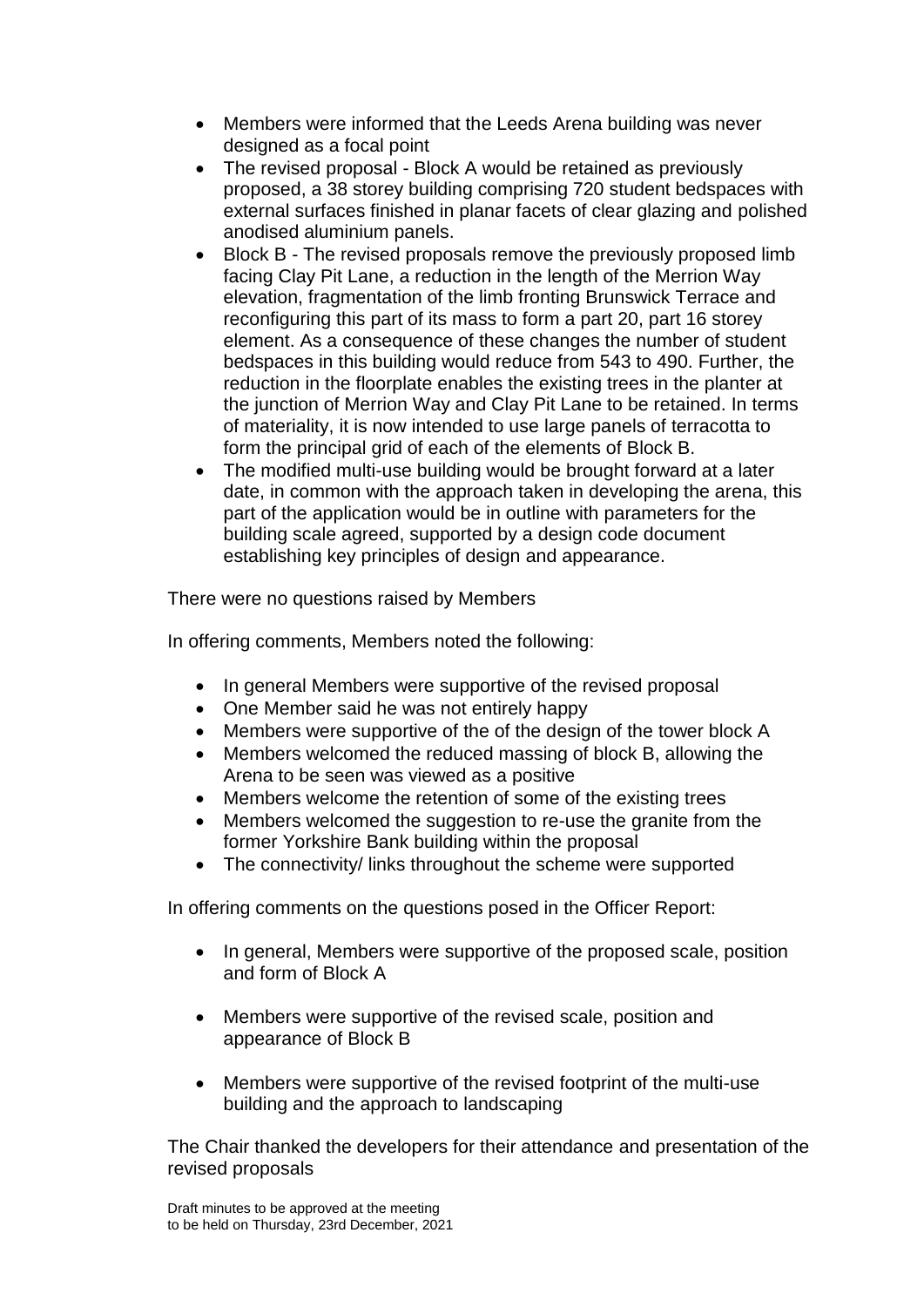- Members were informed that the Leeds Arena building was never designed as a focal point
- The revised proposal Block A would be retained as previously proposed, a 38 storey building comprising 720 student bedspaces with external surfaces finished in planar facets of clear glazing and polished anodised aluminium panels.
- Block B The revised proposals remove the previously proposed limb facing Clay Pit Lane, a reduction in the length of the Merrion Way elevation, fragmentation of the limb fronting Brunswick Terrace and reconfiguring this part of its mass to form a part 20, part 16 storey element. As a consequence of these changes the number of student bedspaces in this building would reduce from 543 to 490. Further, the reduction in the floorplate enables the existing trees in the planter at the junction of Merrion Way and Clay Pit Lane to be retained. In terms of materiality, it is now intended to use large panels of terracotta to form the principal grid of each of the elements of Block B.
- The modified multi-use building would be brought forward at a later date, in common with the approach taken in developing the arena, this part of the application would be in outline with parameters for the building scale agreed, supported by a design code document establishing key principles of design and appearance.

There were no questions raised by Members

In offering comments, Members noted the following:

- In general Members were supportive of the revised proposal
- One Member said he was not entirely happy
- Members were supportive of the of the design of the tower block A
- Members welcomed the reduced massing of block B, allowing the Arena to be seen was viewed as a positive
- Members welcome the retention of some of the existing trees
- Members welcomed the suggestion to re-use the granite from the former Yorkshire Bank building within the proposal
- The connectivity/ links throughout the scheme were supported

In offering comments on the questions posed in the Officer Report:

- In general, Members were supportive of the proposed scale, position and form of Block A
- Members were supportive of the revised scale, position and appearance of Block B
- Members were supportive of the revised footprint of the multi-use building and the approach to landscaping

The Chair thanked the developers for their attendance and presentation of the revised proposals